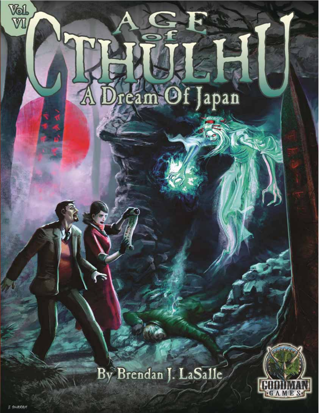## **Flught 15**

公

## By Brendan J. LaSalle



**Vol**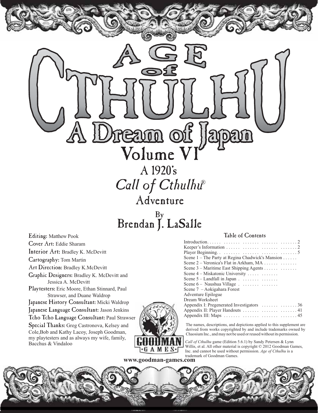A 1920's Volume V eam of Japan

 Adventure Call of Cthulhu®

By Brendan J. LaSalle

Editing: Matthew Pook Cover Art: Eddie Sharam Interior Art: Bradley K. McDevitt Cartography: Tom Martin Art Direction: Bradley K.McDevitt Graphic Designers: Bradley K. McDevitt and Jessica A. McDevitt Playtesters: Eric Moore, Ethan Stinnard, Paul Strawser, and Duane Waldrop Japanese History Consultant: Micki Waldrop Japanese Language Consultant: Jason Jenkins Tcho Tcho Language Consultant: Paul Strawser Special Thanks: Greg Castronova, Kelsey and Cole,Bob and Kathy Lacoy, Joseph Goodman, my playtesters and as always my wife, family, Bacchus & Vindaloo

## Table of Contents

The names, descriptions, and depictions applied to this supplement are derived from works copyrighted by and include trademarks owned by Chaosium Inc., and may not be used or reused without its permission.

*Call of Cthulhu* game (Edition 5.6.1) by Sandy Petersen & Lynn Willis, et al. All other material is copyright © 2012 Goodman Games, Inc. and cannot be used without permission. *Age of Cthulhu* is a trademark of Goodman Games.

**www.goodman-games.com** 

 $\cdot$ GAMES $\cdot$ J